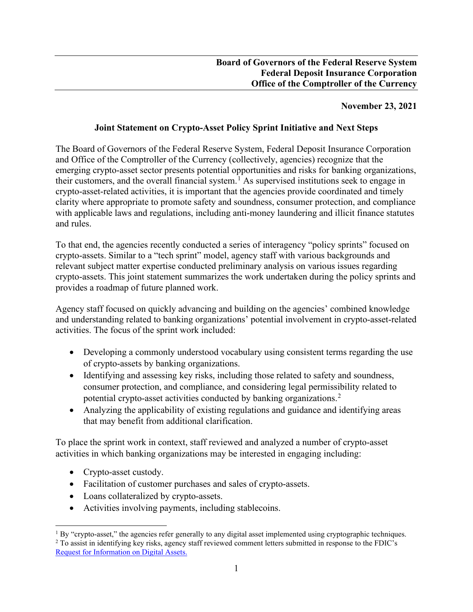## **November 23, 2021**

## **Joint Statement on Crypto-Asset Policy Sprint Initiative and Next Steps**

 emerging crypto-asset sector presents potential opportunities and risks for banking organizations, The Board of Governors of the Federal Reserve System, Federal Deposit Insurance Corporation and Office of the Comptroller of the Currency (collectively, agencies) recognize that the their customers, and the overall financial system.<sup>1</sup> As supervised institutions seek to engage in crypto-asset-related activities, it is important that the agencies provide coordinated and timely clarity where appropriate to promote safety and soundness, consumer protection, and compliance with applicable laws and regulations, including anti-money laundering and illicit finance statutes and rules.

To that end, the agencies recently conducted a series of interagency "policy sprints" focused on crypto-assets. Similar to a "tech sprint" model, agency staff with various backgrounds and relevant subject matter expertise conducted preliminary analysis on various issues regarding crypto-assets. This joint statement summarizes the work undertaken during the policy sprints and provides a roadmap of future planned work.

Agency staff focused on quickly advancing and building on the agencies' combined knowledge and understanding related to banking organizations' potential involvement in crypto-asset-related activities. The focus of the sprint work included:

- Developing a commonly understood vocabulary using consistent terms regarding the use of crypto-assets by banking organizations.
- Identifying and assessing key risks, including those related to safety and soundness, consumer protection, and compliance, and considering legal permissibility related to potential crypto-asset activities conducted by banking organizations.<sup>2</sup>
- Analyzing the applicability of existing regulations and guidance and identifying areas that may benefit from additional clarification.

 activities in which banking organizations may be interested in engaging including: To place the sprint work in context, staff reviewed and analyzed a number of crypto-asset

- Crypto-asset custody.
- • Facilitation of customer purchases and sales of crypto-assets.
- Loans collateralized by crypto-assets.
- Activities involving payments, including stablecoins.

 $1$  By "crypto-asset," the agencies refer generally to any digital asset implemented using cryptographic techniques.<br>  $2$  To assist in identifying key risks, agency staff reviewed comment letters submitted in response to [Request for Information on Digital Assets.](https://www.govinfo.gov/content/pkg/FR-2021-05-21/pdf/2021-10772.pdf)